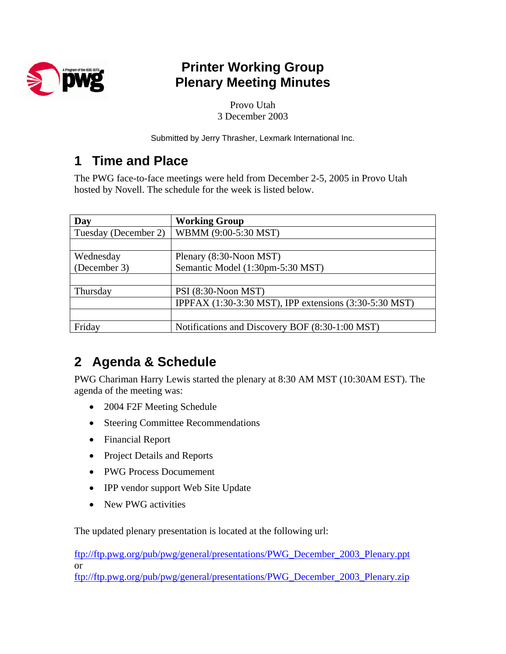

## **Printer Working Group Plenary Meeting Minutes**

Provo Utah 3 December 2003

Submitted by Jerry Thrasher, Lexmark International Inc.

## **1 Time and Place**

The PWG face-to-face meetings were held from December 2-5, 2005 in Provo Utah hosted by Novell. The schedule for the week is listed below.

| Day                  | <b>Working Group</b>                                   |
|----------------------|--------------------------------------------------------|
| Tuesday (December 2) | WBMM (9:00-5:30 MST)                                   |
|                      |                                                        |
| Wednesday            | Plenary (8:30-Noon MST)                                |
| (December 3)         | Semantic Model (1:30pm-5:30 MST)                       |
|                      |                                                        |
| Thursday             | PSI (8:30-Noon MST)                                    |
|                      | IPPFAX (1:30-3:30 MST), IPP extensions (3:30-5:30 MST) |
|                      |                                                        |
| Friday               | Notifications and Discovery BOF (8:30-1:00 MST)        |

# **2 Agenda & Schedule**

PWG Chariman Harry Lewis started the plenary at 8:30 AM MST (10:30AM EST). The agenda of the meeting was:

- 2004 F2F Meeting Schedule
- Steering Committee Recommendations
- Financial Report
- Project Details and Reports
- PWG Process Documement
- IPP vendor support Web Site Update
- New PWG activities

The updated plenary presentation is located at the following url:

[ftp://ftp.pwg.org/pub/pwg/general/presentations/PWG\\_December\\_2003\\_Plenary.ppt](ftp://ftp.pwg.org/pub/pwg/general/presentations/PWG_December_2003_Plenary.ppt) or

[ftp://ftp.pwg.org/pub/pwg/general/presentations/PWG\\_December\\_2003\\_Plenary.zip](ftp://ftp.pwg.org/pub/pwg/general/presentations/PWG_December_2003_Plenary.zip)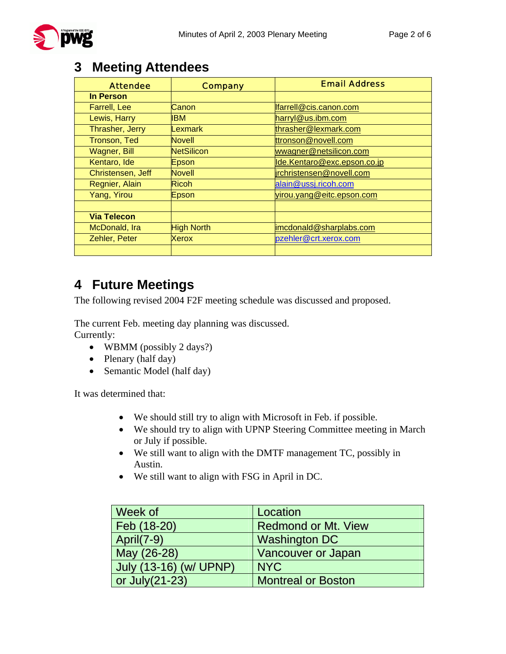

### **3 Meeting Attendees**

| <b>Attendee</b>     | <b>Company</b>    | <b>Email Address</b>        |
|---------------------|-------------------|-----------------------------|
| In Person           |                   |                             |
| <b>Farrell, Lee</b> | Canon             | Ifarrell@cis.canon.com      |
| Lewis, Harry        | <b>IBM</b>        | harryl@us.ibm.com           |
| Thrasher, Jerry     | Lexmark           | thrasher@lexmark.com        |
| Tronson, Ted        | <b>Novell</b>     | ttronson@novell.com         |
| <b>Wagner, Bill</b> | <b>NetSilicon</b> | wwagner@netsilicon.com      |
| Kentaro, Ide        | Epson             | lde.Kentaro@exc.epson.co.jp |
| Christensen, Jeff   | <b>Novell</b>     | irchristensen@novell.com    |
| Regnier, Alain      | <b>Ricoh</b>      | alain@ussj.ricoh.com        |
| Yang, Yirou         | Epson             | virou.yang@eitc.epson.com   |
|                     |                   |                             |
| <b>Via Telecon</b>  |                   |                             |
| McDonald, Ira       | <b>High North</b> | imcdonald@sharplabs.com     |
| Zehler, Peter       | <b>Xerox</b>      | pzehler@crt.xerox.com       |
|                     |                   |                             |

### **4 Future Meetings**

The following revised 2004 F2F meeting schedule was discussed and proposed.

The current Feb. meeting day planning was discussed.

Currently:

- WBMM (possibly 2 days?)
- Plenary (half day)
- Semantic Model (half day)

It was determined that:

- We should still try to align with Microsoft in Feb. if possible.
- We should try to align with UPNP Steering Committee meeting in March or July if possible.
- We still want to align with the DMTF management TC, possibly in Austin.
- We still want to align with FSG in April in DC.

| Week of                | Location                   |
|------------------------|----------------------------|
| Feb (18-20)            | <b>Redmond or Mt. View</b> |
| <b>April(7-9)</b>      | <b>Washington DC</b>       |
| May (26-28)            | <b>Vancouver or Japan</b>  |
| July (13-16) (w/ UPNP) | <b>NYC</b>                 |
| or $July(21-23)$       | <b>Montreal or Boston</b>  |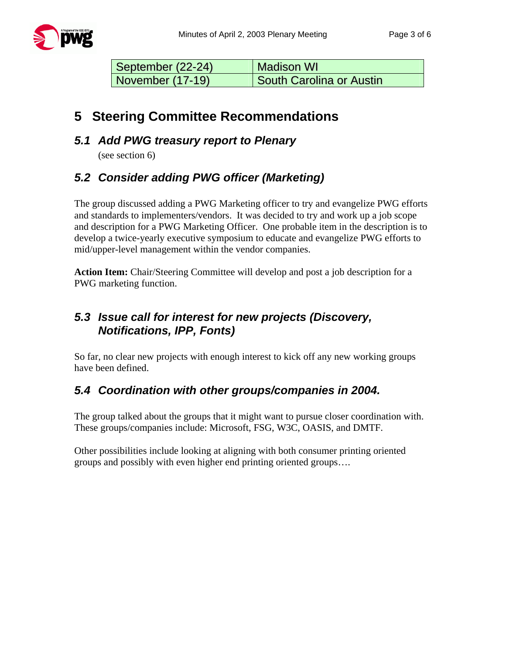| September (22-24) | <b>Madison WI</b>               |
|-------------------|---------------------------------|
| November (17-19)  | <b>South Carolina or Austin</b> |

### **5 Steering Committee Recommendations**

#### *5.1 Add PWG treasury report to Plenary*

(see section 6)

### *5.2 Consider adding PWG officer (Marketing)*

The group discussed adding a PWG Marketing officer to try and evangelize PWG efforts and standards to implementers/vendors. It was decided to try and work up a job scope and description for a PWG Marketing Officer. One probable item in the description is to develop a twice-yearly executive symposium to educate and evangelize PWG efforts to mid/upper-level management within the vendor companies.

**Action Item:** Chair/Steering Committee will develop and post a job description for a PWG marketing function.

### *5.3 Issue call for interest for new projects (Discovery, Notifications, IPP, Fonts)*

So far, no clear new projects with enough interest to kick off any new working groups have been defined.

### *5.4 Coordination with other groups/companies in 2004.*

The group talked about the groups that it might want to pursue closer coordination with. These groups/companies include: Microsoft, FSG, W3C, OASIS, and DMTF.

Other possibilities include looking at aligning with both consumer printing oriented groups and possibly with even higher end printing oriented groups….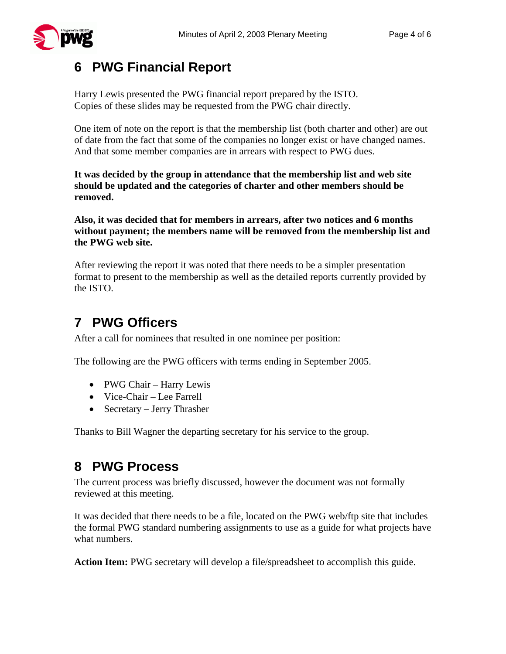

## **6 PWG Financial Report**

Harry Lewis presented the PWG financial report prepared by the ISTO. Copies of these slides may be requested from the PWG chair directly.

One item of note on the report is that the membership list (both charter and other) are out of date from the fact that some of the companies no longer exist or have changed names. And that some member companies are in arrears with respect to PWG dues.

**It was decided by the group in attendance that the membership list and web site should be updated and the categories of charter and other members should be removed.** 

**Also, it was decided that for members in arrears, after two notices and 6 months without payment; the members name will be removed from the membership list and the PWG web site.** 

After reviewing the report it was noted that there needs to be a simpler presentation format to present to the membership as well as the detailed reports currently provided by the ISTO.

# **7 PWG Officers**

After a call for nominees that resulted in one nominee per position:

The following are the PWG officers with terms ending in September 2005.

- PWG Chair Harry Lewis
- Vice-Chair Lee Farrell
- Secretary Jerry Thrasher

Thanks to Bill Wagner the departing secretary for his service to the group.

## **8 PWG Process**

The current process was briefly discussed, however the document was not formally reviewed at this meeting.

It was decided that there needs to be a file, located on the PWG web/ftp site that includes the formal PWG standard numbering assignments to use as a guide for what projects have what numbers.

**Action Item:** PWG secretary will develop a file/spreadsheet to accomplish this guide.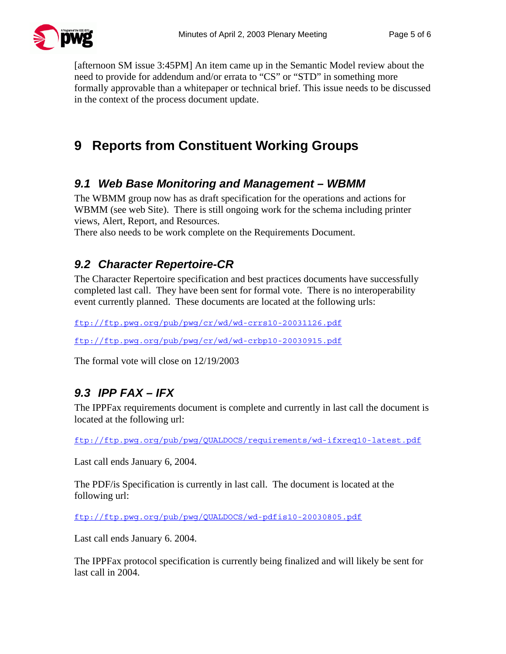

[afternoon SM issue 3:45PM] An item came up in the Semantic Model review about the need to provide for addendum and/or errata to "CS" or "STD" in something more formally approvable than a whitepaper or technical brief. This issue needs to be discussed in the context of the process document update.

# **9 Reports from Constituent Working Groups**

#### *9.1 Web Base Monitoring and Management – WBMM*

The WBMM group now has as draft specification for the operations and actions for WBMM (see web Site). There is still ongoing work for the schema including printer views, Alert, Report, and Resources.

There also needs to be work complete on the Requirements Document.

### *9.2 Character Repertoire-CR*

The Character Repertoire specification and best practices documents have successfully completed last call. They have been sent for formal vote. There is no interoperability event currently planned. These documents are located at the following urls:

<ftp://ftp.pwg.org/pub/pwg/cr/wd/wd-crrs10-20031126.pdf>

<ftp://ftp.pwg.org/pub/pwg/cr/wd/wd-crbp10-20030915.pdf>

The formal vote will close on 12/19/2003

### *9.3 IPP FAX – IFX*

The IPPFax requirements document is complete and currently in last call the document is located at the following url:

<ftp://ftp.pwg.org/pub/pwg/QUALDOCS/requirements/wd-ifxreq10-latest.pdf>

Last call ends January 6, 2004.

The PDF/is Specification is currently in last call. The document is located at the following url:

<ftp://ftp.pwg.org/pub/pwg/QUALDOCS/wd-pdfis10-20030805.pdf>

Last call ends January 6. 2004.

The IPPFax protocol specification is currently being finalized and will likely be sent for last call in 2004.